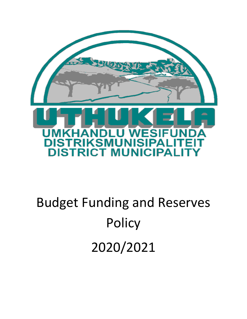

# Budget Funding and Reserves **Policy** 2020/2021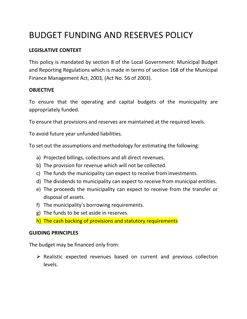## BUDGET FUNDING AND RESERVES POLICY

#### **LEGISLATIVE CONTEXT**

This policy is mandated by section 8 of the Local Government: Municipal Budget and Reporting Regulations which is made in terms of section 168 of the Municipal Finance Management Act, 2003, (Act No. 56 of 2003).

#### **OBJECTIVE**

To ensure that the operating and capital budgets of the municipality are appropriately funded.

To ensure that provisions and reserves are maintained at the required levels.

To avoid future year unfunded liabilities.

To set out the assumptions and methodology for estimating the following:

- a) Projected billings, collections and all direct revenues.
- b) The provision for revenue which will not be collected.
- c) The funds the municipality can expect to receive from investments.
- d) The dividends to municipality can expect to receive from municipal entities.
- e) The proceeds the municipality can expect to receive from the transfer or disposal of assets.
- f) The municipality's borrowing requirements.
- g) The funds to be set aside in reserves.
- h) The cash backing of provisions and statutory requirements

#### **GUIDING PRINCIPLES**

The budget may be financed only from:

 $\triangleright$  Realistic expected revenues based on current and previous collection levels.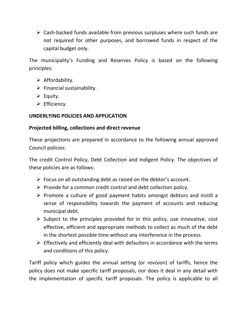$\triangleright$  Cash-backed funds available from previous surpluses where such funds are not required for other purposes, and borrowed funds in respect of the capital budget only.

The municipality's Funding and Reserves Policy is based on the following principles:

- $\triangleright$  Affordability.
- $\triangleright$  Financial sustainability.
- $\triangleright$  Equity.
- $\triangleright$  Efficiency.

#### **UNDERLYING POLICIES AND APPLICATION**

#### **Projected billing, collections and direct revenue**

These projections are prepared in accordance to the following annual approved Council policies:

The credit Control Policy, Debt Collection and Indigent Policy. The objectives of these policies are as follows:

- $\triangleright$  Focus on all outstanding debt as raised on the debtor's account.
- $\triangleright$  Provide for a common credit control and debt collection policy.
- $\triangleright$  Promote a culture of good payment habits amongst debtors and instill a sense of responsibility towards the payment of accounts and reducing municipal debt.
- $\triangleright$  Subject to the principles provided for in this policy, use innovative, cost effective, efficient and appropriate methods to collect as much of the debt in the shortest possible time without any interference in the process.
- $\triangleright$  Effectively and efficiently deal with defaulters in accordance with the terms and conditions of this policy.

Tariff policy which guides the annual setting (or revision) of tariffs, hence the policy does not make specific tariff proposals, nor does it deal in any detail with the implementation of specific tariff proposals. The policy is applicable to all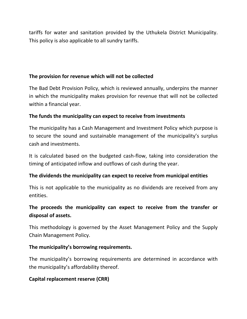tariffs for water and sanitation provided by the Uthukela District Municipality. This policy is also applicable to all sundry tariffs.

#### **The provision for revenue which will not be collected**

The Bad Debt Provision Policy, which is reviewed annually, underpins the manner in which the municipality makes provision for revenue that will not be collected within a financial year.

#### **The funds the municipality can expect to receive from investments**

The municipality has a Cash Management and Investment Policy which purpose is to secure the sound and sustainable management of the municipality's surplus cash and investments.

It is calculated based on the budgeted cash-flow, taking into consideration the timing of anticipated inflow and outflows of cash during the year.

#### **The dividends the municipality can expect to receive from municipal entities**

This is not applicable to the municipality as no dividends are received from any entities.

### **The proceeds the municipality can expect to receive from the transfer or disposal of assets.**

This methodology is governed by the Asset Management Policy and the Supply Chain Management Policy.

#### **The municipality's borrowing requirements.**

The municipality's borrowing requirements are determined in accordance with the municipality's affordability thereof.

#### **Capital replacement reserve (CRR)**